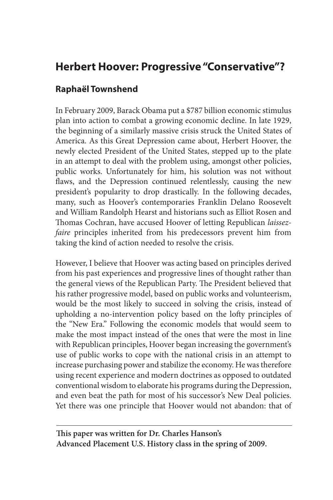# **Herbert Hoover: Progressive "Conservative"?**

# **Raphaël Townshend**

In February 2009, Barack Obama put a \$787 billion economic stimulus plan into action to combat a growing economic decline. In late 1929, the beginning of a similarly massive crisis struck the United States of America. As this Great Depression came about, Herbert Hoover, the newly elected President of the United States, stepped up to the plate in an attempt to deal with the problem using, amongst other policies, public works. Unfortunately for him, his solution was not without flaws, and the Depression continued relentlessly, causing the new president's popularity to drop drastically. In the following decades, many, such as Hoover's contemporaries Franklin Delano Roosevelt and William Randolph Hearst and historians such as Elliot Rosen and Thomas Cochran, have accused Hoover of letting Republican *laissezfaire* principles inherited from his predecessors prevent him from taking the kind of action needed to resolve the crisis.

However, I believe that Hoover was acting based on principles derived from his past experiences and progressive lines of thought rather than the general views of the Republican Party. The President believed that his rather progressive model, based on public works and volunteerism, would be the most likely to succeed in solving the crisis, instead of upholding a no-intervention policy based on the lofty principles of the "New Era." Following the economic models that would seem to make the most impact instead of the ones that were the most in line with Republican principles, Hoover began increasing the government's use of public works to cope with the national crisis in an attempt to increase purchasing power and stabilize the economy. He was therefore using recent experience and modern doctrines as opposed to outdated conventional wisdom to elaborate his programs during the Depression, and even beat the path for most of his successor's New Deal policies. Yet there was one principle that Hoover would not abandon: that of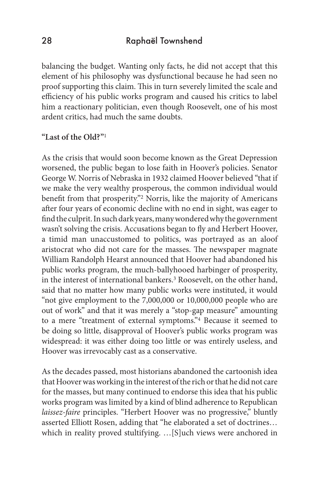balancing the budget. Wanting only facts, he did not accept that this element of his philosophy was dysfunctional because he had seen no proof supporting this claim. This in turn severely limited the scale and efficiency of his public works program and caused his critics to label him a reactionary politician, even though Roosevelt, one of his most ardent critics, had much the same doubts.

#### **"Last of the Old?"**<sup>1</sup>

As the crisis that would soon become known as the Great Depression worsened, the public began to lose faith in Hoover's policies. Senator George W. Norris of Nebraska in 1932 claimed Hoover believed "that if we make the very wealthy prosperous, the common individual would benefit from that prosperity."2 Norris, like the majority of Americans after four years of economic decline with no end in sight, was eager to find the culprit. In such dark years, many wondered why the government wasn't solving the crisis. Accusations began to fly and Herbert Hoover, a timid man unaccustomed to politics, was portrayed as an aloof aristocrat who did not care for the masses. The newspaper magnate William Randolph Hearst announced that Hoover had abandoned his public works program, the much-ballyhooed harbinger of prosperity, in the interest of international bankers.<sup>3</sup> Roosevelt, on the other hand, said that no matter how many public works were instituted, it would "not give employment to the 7,000,000 or 10,000,000 people who are out of work" and that it was merely a "stop-gap measure" amounting to a mere "treatment of external symptoms."4 Because it seemed to be doing so little, disapproval of Hoover's public works program was widespread: it was either doing too little or was entirely useless, and Hoover was irrevocably cast as a conservative.

As the decades passed, most historians abandoned the cartoonish idea that Hoover was working in the interest of the rich or that he did not care for the masses, but many continued to endorse this idea that his public works program was limited by a kind of blind adherence to Republican *laissez-faire* principles. "Herbert Hoover was no progressive," bluntly asserted Elliott Rosen, adding that "he elaborated a set of doctrines… which in reality proved stultifying. …[S]uch views were anchored in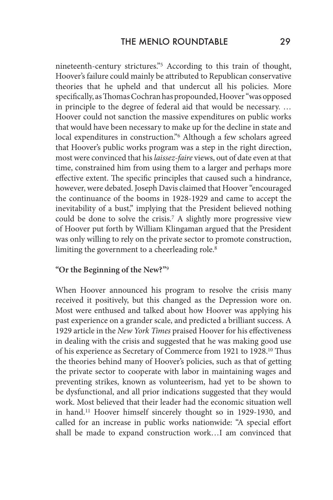nineteenth-century strictures."5 According to this train of thought, Hoover's failure could mainly be attributed to Republican conservative theories that he upheld and that undercut all his policies. More specifically, as Thomas Cochran has propounded, Hoover "was opposed in principle to the degree of federal aid that would be necessary. … Hoover could not sanction the massive expenditures on public works that would have been necessary to make up for the decline in state and local expenditures in construction."6 Although a few scholars agreed that Hoover's public works program was a step in the right direction, most were convinced that his *laissez-faire* views, out of date even at that time, constrained him from using them to a larger and perhaps more effective extent. The specific principles that caused such a hindrance, however, were debated. Joseph Davis claimed that Hoover "encouraged the continuance of the booms in 1928-1929 and came to accept the inevitability of a bust," implying that the President believed nothing could be done to solve the crisis.7 A slightly more progressive view of Hoover put forth by William Klingaman argued that the President was only willing to rely on the private sector to promote construction, limiting the government to a cheerleading role.<sup>8</sup>

#### **"Or the Beginning of the New?"**<sup>9</sup>

When Hoover announced his program to resolve the crisis many received it positively, but this changed as the Depression wore on. Most were enthused and talked about how Hoover was applying his past experience on a grander scale, and predicted a brilliant success. A 1929 article in the *New York Times* praised Hoover for his effectiveness in dealing with the crisis and suggested that he was making good use of his experience as Secretary of Commerce from 1921 to 1928.10 Thus the theories behind many of Hoover's policies, such as that of getting the private sector to cooperate with labor in maintaining wages and preventing strikes, known as volunteerism, had yet to be shown to be dysfunctional, and all prior indications suggested that they would work. Most believed that their leader had the economic situation well in hand.11 Hoover himself sincerely thought so in 1929-1930, and called for an increase in public works nationwide: "A special effort shall be made to expand construction work…I am convinced that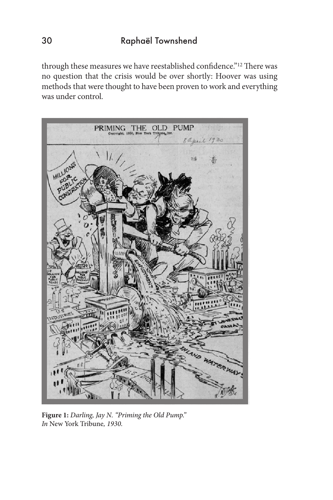through these measures we have reestablished confidence."12 There was no question that the crisis would be over shortly: Hoover was using methods that were thought to have been proven to work and everything was under control.



**Figure 1:** *Darling, Jay N. "Priming the Old Pump." In* New York Tribune*, 1930.*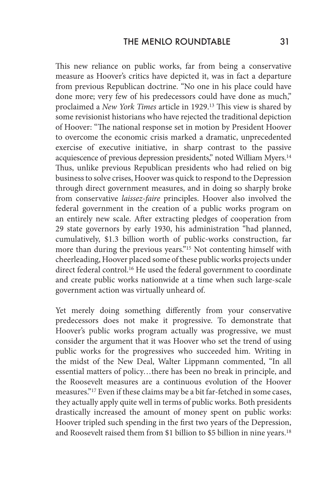This new reliance on public works, far from being a conservative measure as Hoover's critics have depicted it, was in fact a departure from previous Republican doctrine. "No one in his place could have done more; very few of his predecessors could have done as much," proclaimed a *New York Times* article in 1929.13 This view is shared by some revisionist historians who have rejected the traditional depiction of Hoover: "The national response set in motion by President Hoover to overcome the economic crisis marked a dramatic, unprecedented exercise of executive initiative, in sharp contrast to the passive acquiescence of previous depression presidents," noted William Myers.14 Thus, unlike previous Republican presidents who had relied on big business to solve crises, Hoover was quick to respond to the Depression through direct government measures, and in doing so sharply broke from conservative *laissez-faire* principles. Hoover also involved the federal government in the creation of a public works program on an entirely new scale. After extracting pledges of cooperation from 29 state governors by early 1930, his administration "had planned, cumulatively, \$1.3 billion worth of public-works construction, far more than during the previous years."15 Not contenting himself with cheerleading, Hoover placed some of these public works projects under direct federal control.<sup>16</sup> He used the federal government to coordinate and create public works nationwide at a time when such large-scale government action was virtually unheard of.

Yet merely doing something differently from your conservative predecessors does not make it progressive. To demonstrate that Hoover's public works program actually was progressive, we must consider the argument that it was Hoover who set the trend of using public works for the progressives who succeeded him. Writing in the midst of the New Deal, Walter Lippmann commented, "In all essential matters of policy…there has been no break in principle, and the Roosevelt measures are a continuous evolution of the Hoover measures."17 Even if these claims may be a bit far-fetched in some cases, they actually apply quite well in terms of public works. Both presidents drastically increased the amount of money spent on public works: Hoover tripled such spending in the first two years of the Depression, and Roosevelt raised them from \$1 billion to \$5 billion in nine years.<sup>18</sup>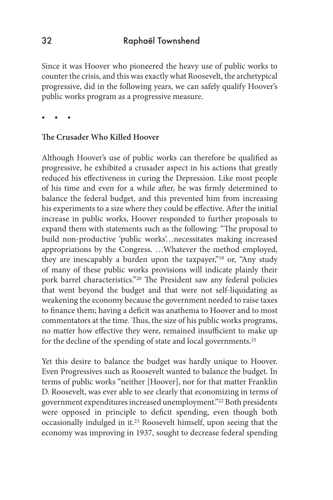Since it was Hoover who pioneered the heavy use of public works to counter the crisis, and this was exactly what Roosevelt, the archetypical progressive, did in the following years, we can safely qualify Hoover's public works program as a progressive measure.

• • •

#### **The Crusader Who Killed Hoover**

Although Hoover's use of public works can therefore be qualified as progressive, he exhibited a crusader aspect in his actions that greatly reduced his effectiveness in curing the Depression. Like most people of his time and even for a while after, he was firmly determined to balance the federal budget, and this prevented him from increasing his experiments to a size where they could be effective. After the initial increase in public works, Hoover responded to further proposals to expand them with statements such as the following: "The proposal to build non-productive 'public works'…necessitates making increased appropriations by the Congress. …Whatever the method employed, they are inescapably a burden upon the taxpayer,"19 or, "Any study of many of these public works provisions will indicate plainly their pork barrel characteristics."20 The President saw any federal policies that went beyond the budget and that were not self-liquidating as weakening the economy because the government needed to raise taxes to finance them; having a deficit was anathema to Hoover and to most commentators at the time. Thus, the size of his public works programs, no matter how effective they were, remained insufficient to make up for the decline of the spending of state and local governments.<sup>21</sup>

Yet this desire to balance the budget was hardly unique to Hoover. Even Progressives such as Roosevelt wanted to balance the budget. In terms of public works "neither [Hoover], nor for that matter Franklin D. Roosevelt, was ever able to see clearly that economizing in terms of government expenditures increased unemployment."22 Both presidents were opposed in principle to deficit spending, even though both occasionally indulged in it.23 Roosevelt himself, upon seeing that the economy was improving in 1937, sought to decrease federal spending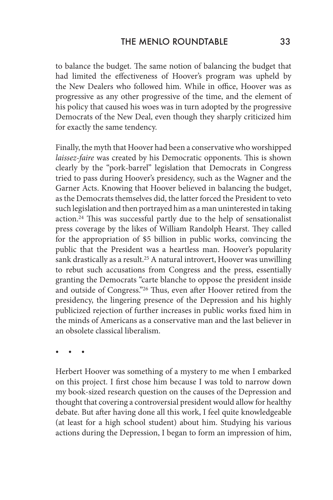to balance the budget. The same notion of balancing the budget that had limited the effectiveness of Hoover's program was upheld by the New Dealers who followed him. While in office, Hoover was as progressive as any other progressive of the time, and the element of his policy that caused his woes was in turn adopted by the progressive Democrats of the New Deal, even though they sharply criticized him for exactly the same tendency.

Finally, the myth that Hoover had been a conservative who worshipped *laissez-faire* was created by his Democratic opponents. This is shown clearly by the "pork-barrel" legislation that Democrats in Congress tried to pass during Hoover's presidency, such as the Wagner and the Garner Acts. Knowing that Hoover believed in balancing the budget, as the Democrats themselves did, the latter forced the President to veto such legislation and then portrayed him as a man uninterested in taking action.24 This was successful partly due to the help of sensationalist press coverage by the likes of William Randolph Hearst. They called for the appropriation of \$5 billion in public works, convincing the public that the President was a heartless man. Hoover's popularity sank drastically as a result.<sup>25</sup> A natural introvert, Hoover was unwilling to rebut such accusations from Congress and the press, essentially granting the Democrats "carte blanche to oppose the president inside and outside of Congress."26 Thus, even after Hoover retired from the presidency, the lingering presence of the Depression and his highly publicized rejection of further increases in public works fixed him in the minds of Americans as a conservative man and the last believer in an obsolete classical liberalism.

• • •

Herbert Hoover was something of a mystery to me when I embarked on this project. I first chose him because I was told to narrow down my book-sized research question on the causes of the Depression and thought that covering a controversial president would allow for healthy debate. But after having done all this work, I feel quite knowledgeable (at least for a high school student) about him. Studying his various actions during the Depression, I began to form an impression of him,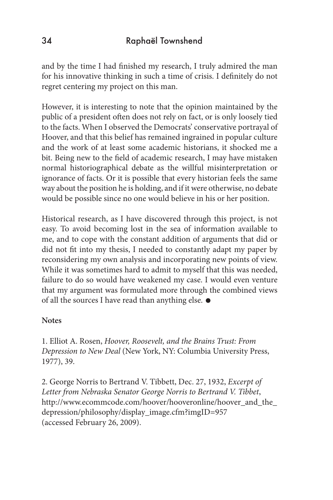and by the time I had finished my research, I truly admired the man for his innovative thinking in such a time of crisis. I definitely do not regret centering my project on this man.

However, it is interesting to note that the opinion maintained by the public of a president often does not rely on fact, or is only loosely tied to the facts. When I observed the Democrats' conservative portrayal of Hoover, and that this belief has remained ingrained in popular culture and the work of at least some academic historians, it shocked me a bit. Being new to the field of academic research, I may have mistaken normal historiographical debate as the willful misinterpretation or ignorance of facts. Or it is possible that every historian feels the same way about the position he is holding, and if it were otherwise, no debate would be possible since no one would believe in his or her position.

Historical research, as I have discovered through this project, is not easy. To avoid becoming lost in the sea of information available to me, and to cope with the constant addition of arguments that did or did not fit into my thesis, I needed to constantly adapt my paper by reconsidering my own analysis and incorporating new points of view. While it was sometimes hard to admit to myself that this was needed, failure to do so would have weakened my case. I would even venture that my argument was formulated more through the combined views of all the sources I have read than anything else.  $\bullet$ 

#### **Notes**

1. Elliot A. Rosen, *Hoover, Roosevelt, and the Brains Trust: From Depression to New Deal* (New York, NY: Columbia University Press, 1977), 39.

2. George Norris to Bertrand V. Tibbett, Dec. 27, 1932, *Excerpt of Letter from Nebraska Senator George Norris to Bertrand V. Tibbet*, http://www.ecommcode.com/hoover/hooveronline/hoover\_and\_the\_ depression/philosophy/display\_image.cfm?imgID=957 (accessed February 26, 2009).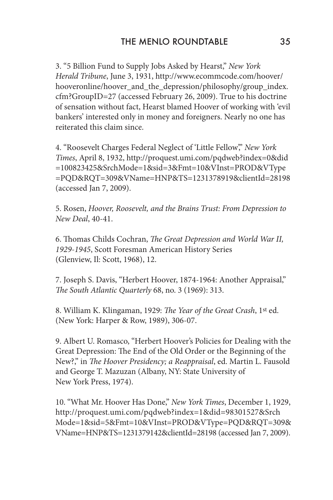3. "5 Billion Fund to Supply Jobs Asked by Hearst," *New York Herald Tribune*, June 3, 1931, http://www.ecommcode.com/hoover/ hooveronline/hoover\_and\_the\_depression/philosophy/group\_index. cfm?GroupID=27 (accessed February 26, 2009). True to his doctrine of sensation without fact, Hearst blamed Hoover of working with 'evil bankers' interested only in money and foreigners. Nearly no one has reiterated this claim since.

4. "Roosevelt Charges Federal Neglect of 'Little Fellow'," *New York Times*, April 8, 1932, http://proquest.umi.com/pqdweb?index=0&did =100823425&SrchMode=1&sid=3&Fmt=10&VInst=PROD&VType =PQD&RQT=309&VName=HNP&TS=1231378919&clientId=28198 (accessed Jan 7, 2009).

5. Rosen, *Hoover, Roosevelt, and the Brains Trust: From Depression to New Deal*, 40-41.

6. Thomas Childs Cochran, *The Great Depression and World War II, 1929-1945*, Scott Foresman American History Series (Glenview, Il: Scott, 1968), 12.

7. Joseph S. Davis, "Herbert Hoover, 1874-1964: Another Appraisal," *The South Atlantic Quarterly* 68, no. 3 (1969): 313.

8. William K. Klingaman, 1929: *The Year of the Great Crash*, 1st ed. (New York: Harper & Row, 1989), 306-07.

9. Albert U. Romasco, "Herbert Hoover's Policies for Dealing with the Great Depression: The End of the Old Order or the Beginning of the New?," in *The Hoover Presidency; a Reappraisal*, ed. Martin L. Fausold and George T. Mazuzan (Albany, NY: State University of New York Press, 1974).

10. "What Mr. Hoover Has Done," *New York Times*, December 1, 1929, http://proquest.umi.com/pqdweb?index=1&did=98301527&Srch Mode=1&sid=5&Fmt=10&VInst=PROD&VType=PQD&RQT=309& VName=HNP&TS=1231379142&clientId=28198 (accessed Jan 7, 2009).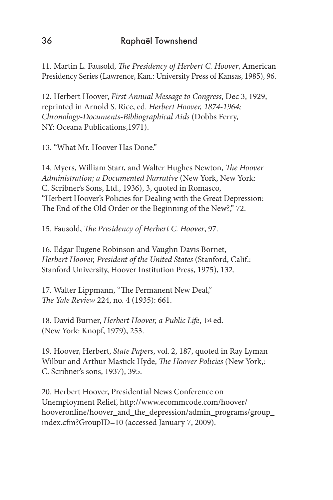11. Martin L. Fausold, *The Presidency of Herbert C. Hoover*, American Presidency Series (Lawrence, Kan.: University Press of Kansas, 1985), 96.

12. Herbert Hoover, *First Annual Message to Congress*, Dec 3, 1929, reprinted in Arnold S. Rice, ed. *Herbert Hoover, 1874-1964; Chronology-Documents-Bibliographical Aids* (Dobbs Ferry, NY: Oceana Publications,1971).

13. "What Mr. Hoover Has Done."

14. Myers, William Starr, and Walter Hughes Newton, *The Hoover Administration; a Documented Narrative* (New York, New York: C. Scribner's Sons, Ltd., 1936), 3, quoted in Romasco, "Herbert Hoover's Policies for Dealing with the Great Depression: The End of the Old Order or the Beginning of the New?," 72.

15. Fausold, *The Presidency of Herbert C. Hoover*, 97.

16. Edgar Eugene Robinson and Vaughn Davis Bornet, *Herbert Hoover, President of the United States* (Stanford, Calif.: Stanford University, Hoover Institution Press, 1975), 132.

17. Walter Lippmann, "The Permanent New Deal," *The Yale Review* 224, no. 4 (1935): 661.

18. David Burner, *Herbert Hoover, a Public Life*, 1st ed. (New York: Knopf, 1979), 253.

19. Hoover, Herbert, *State Papers*, vol. 2, 187, quoted in Ray Lyman Wilbur and Arthur Mastick Hyde, *The Hoover Policies* (New York,: C. Scribner's sons, 1937), 395.

20. Herbert Hoover, Presidential News Conference on Unemployment Relief, http://www.ecommcode.com/hoover/ hooveronline/hoover\_and\_the\_depression/admin\_programs/group\_ index.cfm?GroupID=10 (accessed January 7, 2009).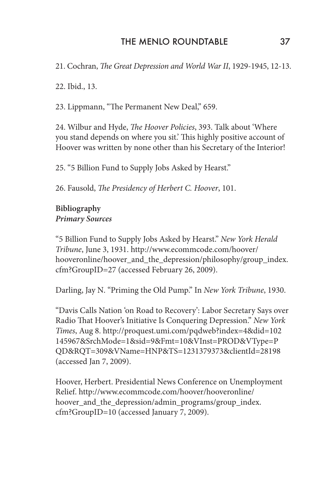21. Cochran, *The Great Depression and World War II*, 1929-1945, 12-13.

22. Ibid., 13.

23. Lippmann, "The Permanent New Deal," 659.

24. Wilbur and Hyde, *The Hoover Policies*, 393. Talk about 'Where you stand depends on where you sit.' This highly positive account of Hoover was written by none other than his Secretary of the Interior!

25. "5 Billion Fund to Supply Jobs Asked by Hearst."

26. Fausold, *The Presidency of Herbert C. Hoover*, 101.

## **Bibliography** *Primary Sources*

"5 Billion Fund to Supply Jobs Asked by Hearst." *New York Herald Tribune*, June 3, 1931. http://www.ecommcode.com/hoover/ hooveronline/hoover\_and\_the\_depression/philosophy/group\_index. cfm?GroupID=27 (accessed February 26, 2009).

Darling, Jay N. "Priming the Old Pump." In *New York Tribune*, 1930.

"Davis Calls Nation 'on Road to Recovery': Labor Secretary Says over Radio That Hoover's Initiative Is Conquering Depression." *New York Times*, Aug 8. http://proquest.umi.com/pqdweb?index=4&did=102 145967&SrchMode=1&sid=9&Fmt=10&VInst=PROD&VType=P QD&RQT=309&VName=HNP&TS=1231379373&clientId=28198 (accessed Jan 7, 2009).

Hoover, Herbert. Presidential News Conference on Unemployment Relief. http://www.ecommcode.com/hoover/hooveronline/ hoover\_and\_the\_depression/admin\_programs/group\_index. cfm?GroupID=10 (accessed January 7, 2009).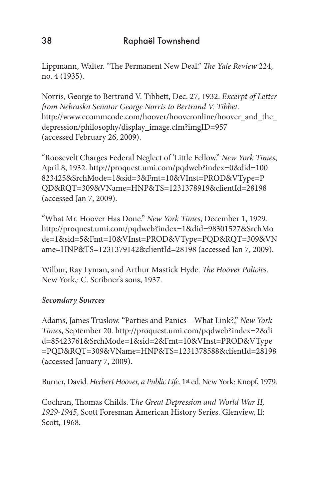Lippmann, Walter. "The Permanent New Deal." *The Yale Review* 224, no. 4 (1935).

Norris, George to Bertrand V. Tibbett, Dec. 27, 1932. *Excerpt of Letter from Nebraska Senator George Norris to Bertrand V. Tibbet*. http://www.ecommcode.com/hoover/hooveronline/hoover\_and\_the\_ depression/philosophy/display\_image.cfm?imgID=957 (accessed February 26, 2009).

"Roosevelt Charges Federal Neglect of 'Little Fellow." *New York Times*, April 8, 1932. http://proquest.umi.com/pqdweb?index=0&did=100 823425&SrchMode=1&sid=3&Fmt=10&VInst=PROD&VType=P QD&RQT=309&VName=HNP&TS=1231378919&clientId=28198 (accessed Jan 7, 2009).

"What Mr. Hoover Has Done." *New York Times*, December 1, 1929. http://proquest.umi.com/pqdweb?index=1&did=98301527&SrchMo de=1&sid=5&Fmt=10&VInst=PROD&VType=PQD&RQT=309&VN ame=HNP&TS=1231379142&clientId=28198 (accessed Jan 7, 2009).

Wilbur, Ray Lyman, and Arthur Mastick Hyde. *The Hoover Policies*. New York,: C. Scribner's sons, 1937.

### *Secondary Sources*

Adams, James Truslow. "Parties and Panics—What Link?," *New York Times*, September 20. http://proquest.umi.com/pqdweb?index=2&di d=85423761&SrchMode=1&sid=2&Fmt=10&VInst=PROD&VType =PQD&RQT=309&VName=HNP&TS=1231378588&clientId=28198 (accessed January 7, 2009).

Burner, David. *Herbert Hoover, a Public Life*. 1st ed. New York: Knopf, 1979.

Cochran, Thomas Childs. T*he Great Depression and World War II, 1929-1945*, Scott Foresman American History Series. Glenview, Il: Scott, 1968.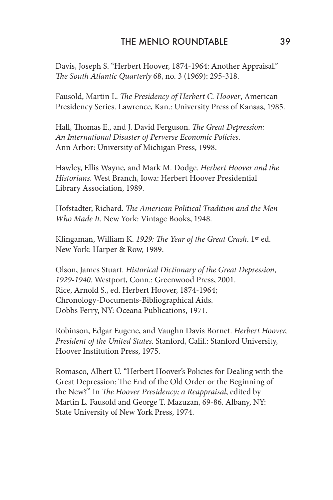#### THE MENLO ROUNDTABLE 39

Davis, Joseph S. "Herbert Hoover, 1874-1964: Another Appraisal." *The South Atlantic Quarterly* 68, no. 3 (1969): 295-318.

Fausold, Martin L. *The Presidency of Herbert C. Hoover*, American Presidency Series. Lawrence, Kan.: University Press of Kansas, 1985.

Hall, Thomas E., and J. David Ferguson. *The Great Depression: An International Disaster of Perverse Economic Policies*. Ann Arbor: University of Michigan Press, 1998.

Hawley, Ellis Wayne, and Mark M. Dodge. *Herbert Hoover and the Historians*. West Branch, Iowa: Herbert Hoover Presidential Library Association, 1989.

Hofstadter, Richard. *The American Political Tradition and the Men Who Made It*. New York: Vintage Books, 1948.

Klingaman, William K. *1929: The Year of the Great Crash*. 1st ed. New York: Harper & Row, 1989.

Olson, James Stuart. *Historical Dictionary of the Great Depression, 1929-1940*. Westport, Conn.: Greenwood Press, 2001. Rice, Arnold S., ed. Herbert Hoover, 1874-1964; Chronology-Documents-Bibliographical Aids. Dobbs Ferry, NY: Oceana Publications, 1971.

Robinson, Edgar Eugene, and Vaughn Davis Bornet. *Herbert Hoover, President of the United States*. Stanford, Calif.: Stanford University, Hoover Institution Press, 1975.

Romasco, Albert U. "Herbert Hoover's Policies for Dealing with the Great Depression: The End of the Old Order or the Beginning of the New?" In *The Hoover Presidency; a Reappraisal*, edited by Martin L. Fausold and George T. Mazuzan, 69-86. Albany, NY: State University of New York Press, 1974.